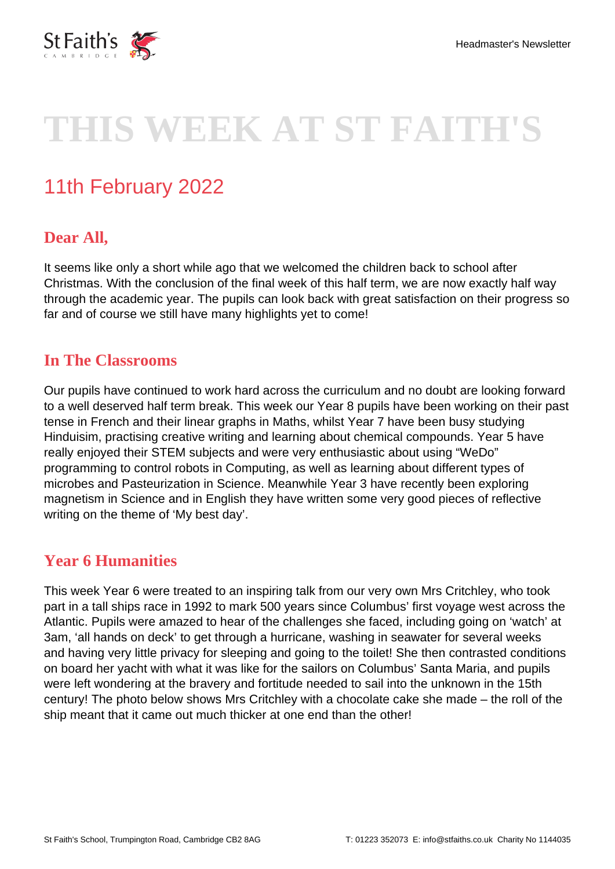

# **THIS WEEK AT ST FAITH'S**

# 11th February 2022

# **Dear All,**

It seems like only a short while ago that we welcomed the children back to school after Christmas. With the conclusion of the final week of this half term, we are now exactly half way through the academic year. The pupils can look back with great satisfaction on their progress so far and of course we still have many highlights yet to come!

#### **In The Classrooms**

Our pupils have continued to work hard across the curriculum and no doubt are looking forward to a well deserved half term break. This week our Year 8 pupils have been working on their past tense in French and their linear graphs in Maths, whilst Year 7 have been busy studying Hinduisim, practising creative writing and learning about chemical compounds. Year 5 have really enjoyed their STEM subjects and were very enthusiastic about using "WeDo" programming to control robots in Computing, as well as learning about different types of microbes and Pasteurization in Science. Meanwhile Year 3 have recently been exploring magnetism in Science and in English they have written some very good pieces of reflective writing on the theme of 'My best day'.

# **Year 6 Humanities**

This week Year 6 were treated to an inspiring talk from our very own Mrs Critchley, who took part in a tall ships race in 1992 to mark 500 years since Columbus' first voyage west across the Atlantic. Pupils were amazed to hear of the challenges she faced, including going on 'watch' at 3am, 'all hands on deck' to get through a hurricane, washing in seawater for several weeks and having very little privacy for sleeping and going to the toilet! She then contrasted conditions on board her yacht with what it was like for the sailors on Columbus' Santa Maria, and pupils were left wondering at the bravery and fortitude needed to sail into the unknown in the 15th century! The photo below shows Mrs Critchley with a chocolate cake she made – the roll of the ship meant that it came out much thicker at one end than the other!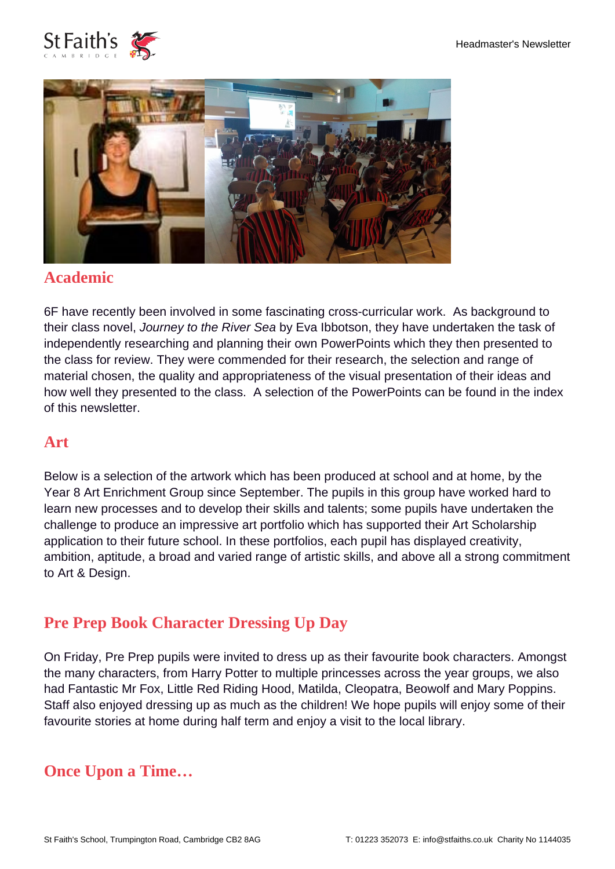



#### **Academic**

6F have recently been involved in some fascinating cross-curricular work. As background to their class novel, Journey to the River Sea by Eva Ibbotson, they have undertaken the task of independently researching and planning their own PowerPoints which they then presented to the class for review. They were commended for their research, the selection and range of material chosen, the quality and appropriateness of the visual presentation of their ideas and how well they presented to the class. A selection of the PowerPoints can be found in the index of this newsletter.

#### **Art**

Below is a selection of the artwork which has been produced at school and at home, by the Year 8 Art Enrichment Group since September. The pupils in this group have worked hard to learn new processes and to develop their skills and talents; some pupils have undertaken the challenge to produce an impressive art portfolio which has supported their Art Scholarship application to their future school. In these portfolios, each pupil has displayed creativity, ambition, aptitude, a broad and varied range of artistic skills, and above all a strong commitment to Art & Design.

# **Pre Prep Book Character Dressing Up Day**

On Friday, Pre Prep pupils were invited to dress up as their favourite book characters. Amongst the many characters, from Harry Potter to multiple princesses across the year groups, we also had Fantastic Mr Fox, Little Red Riding Hood, Matilda, Cleopatra, Beowolf and Mary Poppins. Staff also enjoyed dressing up as much as the children! We hope pupils will enjoy some of their favourite stories at home during half term and enjoy a visit to the local library.

# **Once Upon a Time…**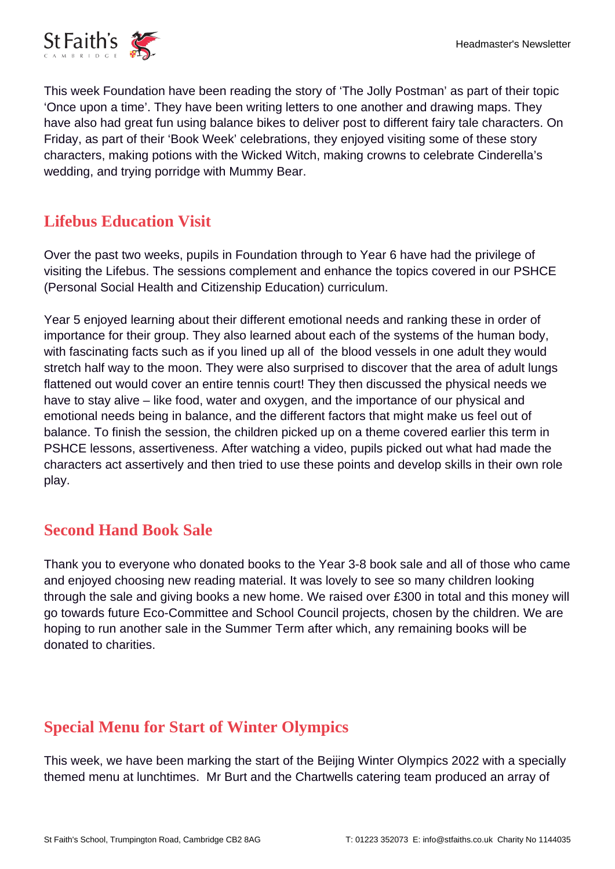

This week Foundation have been reading the story of 'The Jolly Postman' as part of their topic 'Once upon a time'. They have been writing letters to one another and drawing maps. They have also had great fun using balance bikes to deliver post to different fairy tale characters. On Friday, as part of their 'Book Week' celebrations, they enjoyed visiting some of these story characters, making potions with the Wicked Witch, making crowns to celebrate Cinderella's wedding, and trying porridge with Mummy Bear.

# **Lifebus Education Visit**

Over the past two weeks, pupils in Foundation through to Year 6 have had the privilege of visiting the Lifebus. The sessions complement and enhance the topics covered in our PSHCE (Personal Social Health and Citizenship Education) curriculum.

Year 5 enjoyed learning about their different emotional needs and ranking these in order of importance for their group. They also learned about each of the systems of the human body, with fascinating facts such as if you lined up all of the blood vessels in one adult they would stretch half way to the moon. They were also surprised to discover that the area of adult lungs flattened out would cover an entire tennis court! They then discussed the physical needs we have to stay alive – like food, water and oxygen, and the importance of our physical and emotional needs being in balance, and the different factors that might make us feel out of balance. To finish the session, the children picked up on a theme covered earlier this term in PSHCE lessons, assertiveness. After watching a video, pupils picked out what had made the characters act assertively and then tried to use these points and develop skills in their own role play.

#### **Second Hand Book Sale**

Thank you to everyone who donated books to the Year 3-8 book sale and all of those who came and enjoyed choosing new reading material. It was lovely to see so many children looking through the sale and giving books a new home. We raised over £300 in total and this money will go towards future Eco-Committee and School Council projects, chosen by the children. We are hoping to run another sale in the Summer Term after which, any remaining books will be donated to charities.

# **Special Menu for Start of Winter Olympics**

This week, we have been marking the start of the Beijing Winter Olympics 2022 with a specially themed menu at lunchtimes. Mr Burt and the Chartwells catering team produced an array of